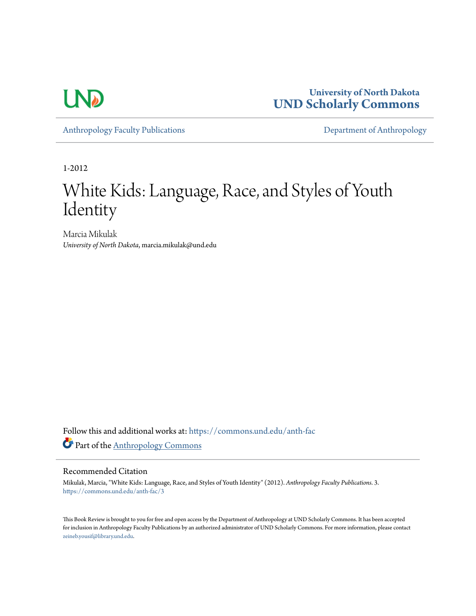

**University of North Dakota [UND Scholarly Commons](https://commons.und.edu?utm_source=commons.und.edu%2Fanth-fac%2F3&utm_medium=PDF&utm_campaign=PDFCoverPages)**

[Anthropology Faculty Publications](https://commons.und.edu/anth-fac?utm_source=commons.und.edu%2Fanth-fac%2F3&utm_medium=PDF&utm_campaign=PDFCoverPages) **[Department of Anthropology](https://commons.und.edu/anth?utm_source=commons.und.edu%2Fanth-fac%2F3&utm_medium=PDF&utm_campaign=PDFCoverPages)** 

1-2012

## White Kids: Language, Race, and Styles of Youth **Identity**

Marcia Mikulak *University of North Dakota*, marcia.mikulak@und.edu

Follow this and additional works at: [https://commons.und.edu/anth-fac](https://commons.und.edu/anth-fac?utm_source=commons.und.edu%2Fanth-fac%2F3&utm_medium=PDF&utm_campaign=PDFCoverPages) Part of the [Anthropology Commons](http://network.bepress.com/hgg/discipline/318?utm_source=commons.und.edu%2Fanth-fac%2F3&utm_medium=PDF&utm_campaign=PDFCoverPages)

## Recommended Citation

Mikulak, Marcia, "White Kids: Language, Race, and Styles of Youth Identity" (2012). *Anthropology Faculty Publications*. 3. [https://commons.und.edu/anth-fac/3](https://commons.und.edu/anth-fac/3?utm_source=commons.und.edu%2Fanth-fac%2F3&utm_medium=PDF&utm_campaign=PDFCoverPages)

This Book Review is brought to you for free and open access by the Department of Anthropology at UND Scholarly Commons. It has been accepted for inclusion in Anthropology Faculty Publications by an authorized administrator of UND Scholarly Commons. For more information, please contact [zeineb.yousif@library.und.edu](mailto:zeineb.yousif@library.und.edu).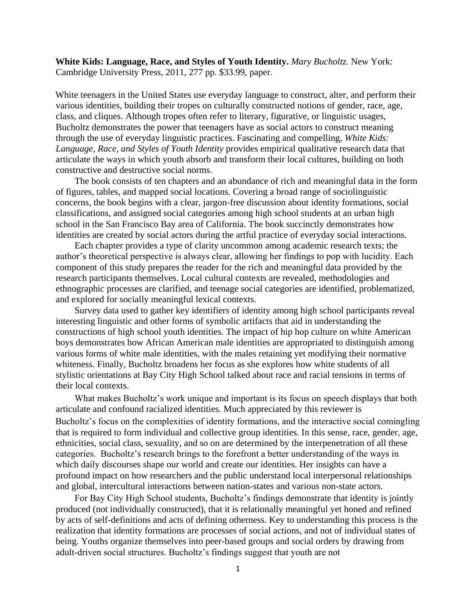**White Kids: Language, Race, and Styles of Youth Identity.** *Mary Bucholtz.* New York: Cambridge University Press, 2011, 277 pp. \$33.99, paper.

White teenagers in the United States use everyday language to construct, alter, and perform their various identities, building their tropes on culturally constructed notions of gender, race, age, class, and cliques. Although tropes often refer to literary, figurative, or linguistic usages, Bucholtz demonstrates the power that teenagers have as social actors to construct meaning through the use of everyday linguistic practices. Fascinating and compelling, *White Kids: Language, Race, and Styles of Youth Identity* provides empirical qualitative research data that articulate the ways in which youth absorb and transform their local cultures, building on both constructive and destructive social norms.

The book consists of ten chapters and an abundance of rich and meaningful data in the form of figures, tables, and mapped social locations. Covering a broad range of sociolinguistic concerns, the book begins with a clear, jargon-free discussion about identity formations, social classifications, and assigned social categories among high school students at an urban high school in the San Francisco Bay area of California. The book succinctly demonstrates how identities are created by social actors during the artful practice of everyday social interactions.

Each chapter provides a type of clarity uncommon among academic research texts; the author's theoretical perspective is always clear, allowing her findings to pop with lucidity. Each component of this study prepares the reader for the rich and meaningful data provided by the research participants themselves. Local cultural contexts are revealed, methodologies and ethnographic processes are clarified, and teenage social categories are identified, problematized, and explored for socially meaningful lexical contexts.

Survey data used to gather key identifiers of identity among high school participants reveal interesting linguistic and other forms of symbolic artifacts that aid in understanding the constructions of high school youth identities. The impact of hip hop culture on white American boys demonstrates how African American male identities are appropriated to distinguish among various forms of white male identities, with the males retaining yet modifying their normative whiteness. Finally, Bucholtz broadens her focus as she explores how white students of all stylistic orientations at Bay City High School talked about race and racial tensions in terms of their local contexts.

What makes Bucholtz's work unique and important is its focus on speech displays that both articulate and confound racialized identities. Much appreciated by this reviewer is Bucholtz's focus on the complexities of identity formations, and the interactive social comingling that is required to form individual and collective group identities. In this sense, race, gender, age, ethnicities, social class, sexuality, and so on are determined by the interpenetration of all these categories. Bucholtz's research brings to the forefront a better understanding of the ways in which daily discourses shape our world and create our identities. Her insights can have a profound impact on how researchers and the public understand local interpersonal relationships and global, intercultural interactions between nation-states and various non-state actors.

For Bay City High School students, Bucholtz's findings demonstrate that identity is jointly produced (not individually constructed), that it is relationally meaningful yet honed and refined by acts of self-definitions and acts of defining otherness. Key to understanding this process is the realization that identity formations are processes of social actions, and not of individual states of being. Youths organize themselves into peer-based groups and social orders by drawing from adult-driven social structures. Bucholtz's findings suggest that youth are not